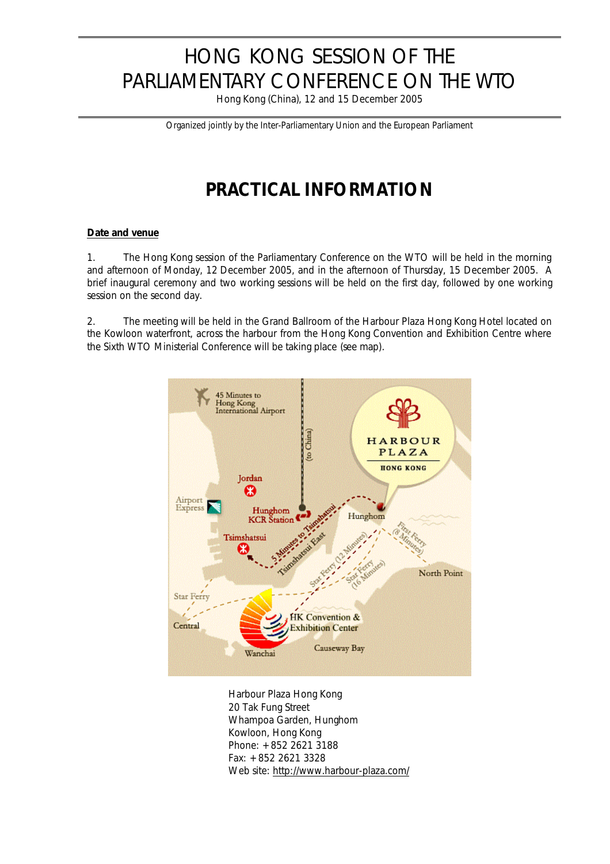# HONG KONG SESSION OF THE PARLIAMENTARY CONFERENCE ON THE WTO

Hong Kong (China), 12 and 15 December 2005

*Organized jointly by the Inter-Parliamentary Union and the European Parliament*

## **PRACTICAL INFORMATION**

### **Date and venue**

1. The Hong Kong session of the Parliamentary Conference on the WTO will be held in the morning and afternoon of Monday, 12 December 2005, and in the afternoon of Thursday, 15 December 2005. A brief inaugural ceremony and two working sessions will be held on the first day, followed by one working session on the second day.

2. The meeting will be held in the Grand Ballroom of the Harbour Plaza Hong Kong Hotel located on the Kowloon waterfront, across the harbour from the Hong Kong Convention and Exhibition Centre where the Sixth WTO Ministerial Conference will be taking place (see map).



Harbour Plaza Hong Kong 20 Tak Fung Street Whampoa Garden, Hunghom Kowloon, Hong Kong Phone: +852 2621 3188 Fax: +852 2621 3328 Web site: http://www.harbour-plaza.com/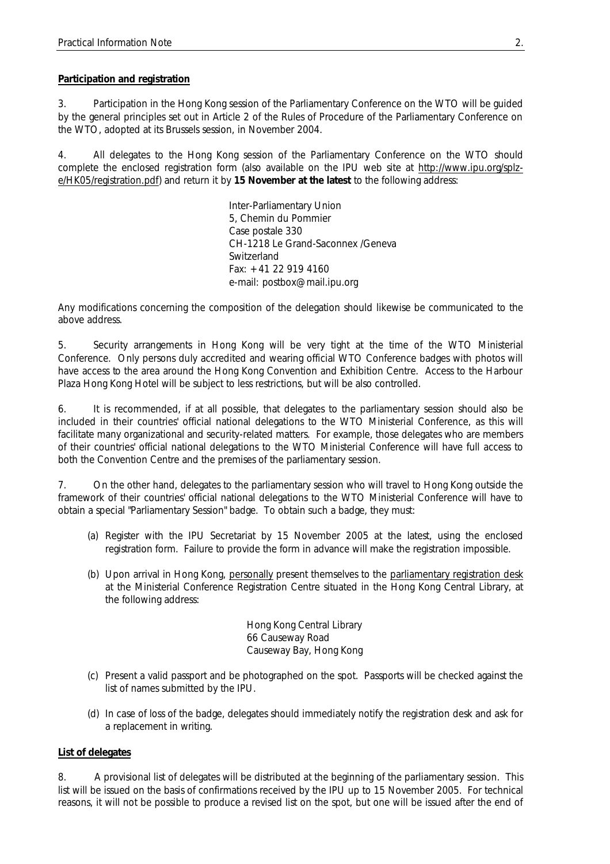#### **Participation and registration**

3. Participation in the Hong Kong session of the Parliamentary Conference on the WTO will be guided by the general principles set out in Article 2 of the Rules of Procedure of the Parliamentary Conference on the WTO, adopted at its Brussels session, in November 2004.

4. All delegates to the Hong Kong session of the Parliamentary Conference on the WTO should complete the enclosed registration form (also available on the IPU web site at http://www.ipu.org/splze/HK05/registration.pdf) and return it by **15 November at the latest** to the following address:

> Inter-Parliamentary Union 5, Chemin du Pommier Case postale 330 CH-1218 Le Grand-Saconnex /Geneva Switzerland Fax: +41 22 919 4160 e-mail: postbox@mail.ipu.org

Any modifications concerning the composition of the delegation should likewise be communicated to the above address.

5. Security arrangements in Hong Kong will be very tight at the time of the WTO Ministerial Conference. Only persons duly accredited and wearing official WTO Conference badges with photos will have access to the area around the Hong Kong Convention and Exhibition Centre. Access to the Harbour Plaza Hong Kong Hotel will be subject to less restrictions, but will be also controlled.

6. It is recommended, if at all possible, that delegates to the parliamentary session should also be included in their countries' official national delegations to the WTO Ministerial Conference, as this will facilitate many organizational and security-related matters. For example, those delegates who are members of their countries' official national delegations to the WTO Ministerial Conference will have full access to both the Convention Centre and the premises of the parliamentary session.

7. On the other hand, delegates to the parliamentary session who will travel to Hong Kong outside the framework of their countries' official national delegations to the WTO Ministerial Conference will have to obtain a special "Parliamentary Session" badge. To obtain such a badge, they must:

- (a) Register with the IPU Secretariat by 15 November 2005 at the latest, using the enclosed registration form. Failure to provide the form in advance will make the registration impossible.
- (b) Upon arrival in Hong Kong, personally present themselves to the parliamentary registration desk at the Ministerial Conference Registration Centre situated in the Hong Kong Central Library, at the following address:

Hong Kong Central Library 66 Causeway Road Causeway Bay, Hong Kong

- (c) Present a valid passport and be photographed on the spot. Passports will be checked against the list of names submitted by the IPU.
- (d) In case of loss of the badge, delegates should immediately notify the registration desk and ask for a replacement in writing.

#### **List of delegates**

8. A provisional list of delegates will be distributed at the beginning of the parliamentary session. This list will be issued on the basis of confirmations received by the IPU up to 15 November 2005. For technical reasons, it will not be possible to produce a revised list on the spot, but one will be issued after the end of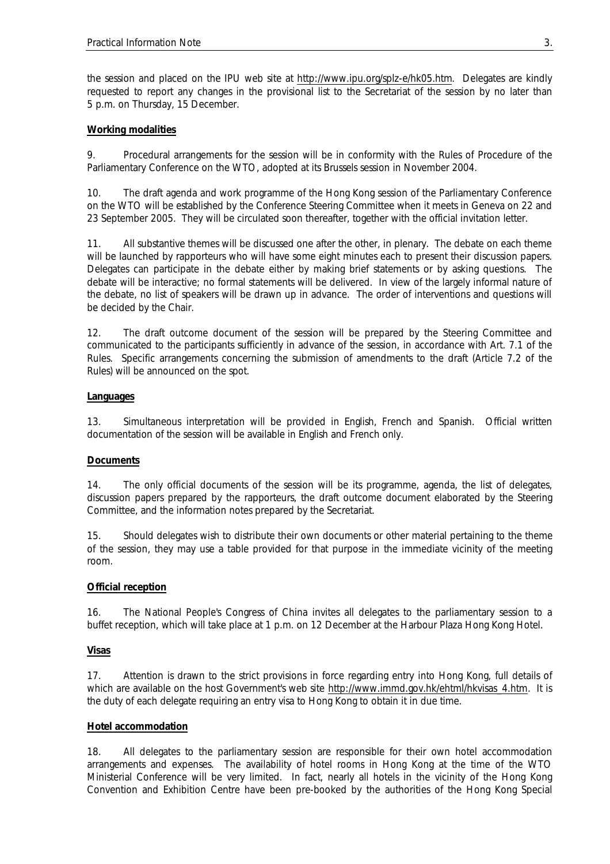the session and placed on the IPU web site at http://www.ipu.org/splz-e/hk05.htm. Delegates are kindly requested to report any changes in the provisional list to the Secretariat of the session by no later than 5 p.m. on Thursday, 15 December.

#### **Working modalities**

9. Procedural arrangements for the session will be in conformity with the Rules of Procedure of the Parliamentary Conference on the WTO, adopted at its Brussels session in November 2004.

10. The draft agenda and work programme of the Hong Kong session of the Parliamentary Conference on the WTO will be established by the Conference Steering Committee when it meets in Geneva on 22 and 23 September 2005. They will be circulated soon thereafter, together with the official invitation letter.

11. All substantive themes will be discussed one after the other, in plenary. The debate on each theme will be launched by rapporteurs who will have some eight minutes each to present their discussion papers. Delegates can participate in the debate either by making brief statements or by asking questions. The debate will be interactive; no formal statements will be delivered. In view of the largely informal nature of the debate, no list of speakers will be drawn up in advance. The order of interventions and questions will be decided by the Chair.

12. The draft outcome document of the session will be prepared by the Steering Committee and communicated to the participants sufficiently in advance of the session, in accordance with Art. 7.1 of the Rules. Specific arrangements concerning the submission of amendments to the draft (Article 7.2 of the Rules) will be announced on the spot.

#### **Languages**

13. Simultaneous interpretation will be provided in English, French and Spanish. Official written documentation of the session will be available in English and French only.

#### **Documents**

14. The only official documents of the session will be its programme, agenda, the list of delegates, discussion papers prepared by the rapporteurs, the draft outcome document elaborated by the Steering Committee, and the information notes prepared by the Secretariat.

15. Should delegates wish to distribute their own documents or other material pertaining to the theme of the session, they may use a table provided for that purpose in the immediate vicinity of the meeting room.

#### **Official reception**

16. The National People's Congress of China invites all delegates to the parliamentary session to a buffet reception, which will take place at 1 p.m. on 12 December at the Harbour Plaza Hong Kong Hotel.

#### **Visas**

17. Attention is drawn to the strict provisions in force regarding entry into Hong Kong, full details of which are available on the host Government's web site http://www.immd.gov.hk/ehtml/hkvisas\_4.htm. It is the duty of each delegate requiring an entry visa to Hong Kong to obtain it in due time.

#### **Hotel accommodation**

18. All delegates to the parliamentary session are responsible for their own hotel accommodation arrangements and expenses. The availability of hotel rooms in Hong Kong at the time of the WTO Ministerial Conference will be very limited. In fact, nearly all hotels in the vicinity of the Hong Kong Convention and Exhibition Centre have been pre-booked by the authorities of the Hong Kong Special